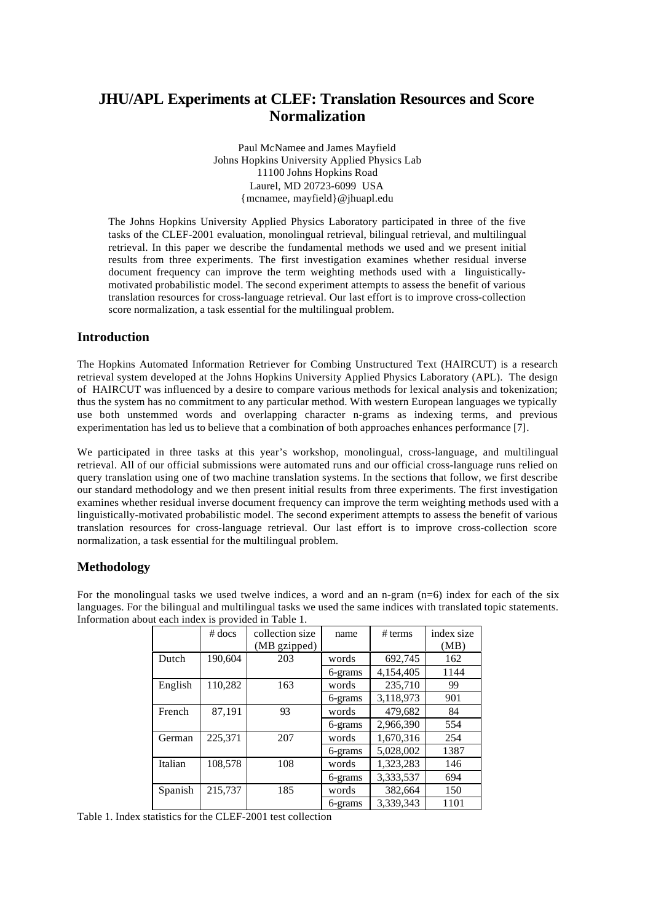# **JHU/APL Experiments at CLEF: Translation Resources and Score Normalization**

Paul McNamee and James Mayfield Johns Hopkins University Applied Physics Lab 11100 Johns Hopkins Road Laurel, MD 20723-6099 USA {mcnamee, mayfield}@jhuapl.edu

The Johns Hopkins University Applied Physics Laboratory participated in three of the five tasks of the CLEF-2001 evaluation, monolingual retrieval, bilingual retrieval, and multilingual retrieval. In this paper we describe the fundamental methods we used and we present initial results from three experiments. The first investigation examines whether residual inverse document frequency can improve the term weighting methods used with a linguisticallymotivated probabilistic model. The second experiment attempts to assess the benefit of various translation resources for cross-language retrieval. Our last effort is to improve cross-collection score normalization, a task essential for the multilingual problem.

# **Introduction**

The Hopkins Automated Information Retriever for Combing Unstructured Text (HAIRCUT) is a research retrieval system developed at the Johns Hopkins University Applied Physics Laboratory (APL). The design of HAIRCUT was influenced by a desire to compare various methods for lexical analysis and tokenization; thus the system has no commitment to any particular method. With western European languages we typically use both unstemmed words and overlapping character n-grams as indexing terms, and previous experimentation has led us to believe that a combination of both approaches enhances performance [7].

We participated in three tasks at this year's workshop, monolingual, cross-language, and multilingual retrieval. All of our official submissions were automated runs and our official cross-language runs relied on query translation using one of two machine translation systems. In the sections that follow, we first describe our standard methodology and we then present initial results from three experiments. The first investigation examines whether residual inverse document frequency can improve the term weighting methods used with a linguistically-motivated probabilistic model. The second experiment attempts to assess the benefit of various translation resources for cross-language retrieval. Our last effort is to improve cross-collection score normalization, a task essential for the multilingual problem.

## **Methodology**

|         | $#$ docs | collection size<br>(MB gzipped) | name    | # terms   | index size<br>(MB) |
|---------|----------|---------------------------------|---------|-----------|--------------------|
| Dutch   | 190,604  | 203                             | words   | 692,745   | 162                |
|         |          |                                 | 6-grams | 4,154,405 | 1144               |
| English | 110,282  | 163                             | words   | 235,710   | 99                 |
|         |          |                                 | 6-grams | 3,118,973 | 901                |
| French  | 87.191   | 93                              | words   | 479.682   | 84                 |
|         |          |                                 | 6-grams | 2.966.390 | 554                |
| German  | 225,371  | 207                             | words   | 1,670,316 | 254                |
|         |          |                                 | 6-grams | 5.028.002 | 1387               |
| Italian | 108,578  | 108                             | words   | 1,323,283 | 146                |
|         |          |                                 | 6-grams | 3,333,537 | 694                |
| Spanish | 215,737  | 185                             | words   | 382,664   | 150                |
|         |          |                                 | 6-grams | 3,339,343 | 1101               |

For the monolingual tasks we used twelve indices, a word and an n-gram  $(n=6)$  index for each of the six languages. For the bilingual and multilingual tasks we used the same indices with translated topic statements. Information about each index is provided in Table 1.

Table 1. Index statistics for the CLEF-2001 test collection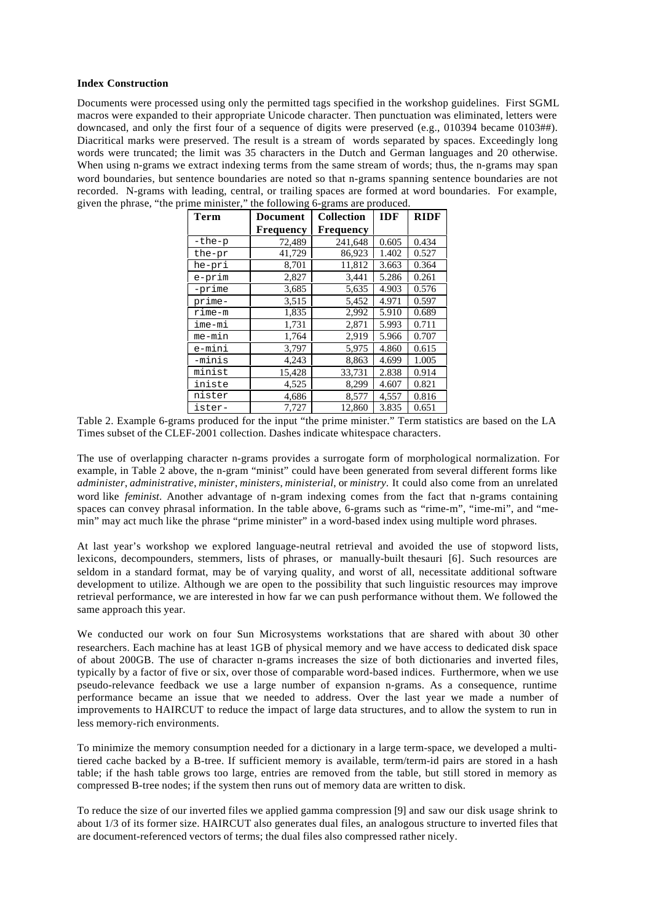#### **Index Construction**

Documents were processed using only the permitted tags specified in the workshop guidelines. First SGML macros were expanded to their appropriate Unicode character. Then punctuation was eliminated, letters were downcased, and only the first four of a sequence of digits were preserved (e.g., 010394 became 0103##). Diacritical marks were preserved. The result is a stream of words separated by spaces. Exceedingly long words were truncated; the limit was 35 characters in the Dutch and German languages and 20 otherwise. When using n-grams we extract indexing terms from the same stream of words; thus, the n-grams may span word boundaries, but sentence boundaries are noted so that n-grams spanning sentence boundaries are not recorded. N-grams with leading, central, or trailing spaces are formed at word boundaries. For example, given the phrase, "the prime minister," the following 6-grams are produced.

|             | $\cdots$  | $5.0000$ $0.0000$ |            |             |  |
|-------------|-----------|-------------------|------------|-------------|--|
| <b>Term</b> | Document  | <b>Collection</b> | <b>IDF</b> | <b>RIDF</b> |  |
|             | Frequency | Frequency         |            |             |  |
| -the-p      | 72,489    | 241,648           | 0.605      | 0.434       |  |
| the-pr      | 41,729    | 86,923            | 1.402      | 0.527       |  |
| he-pri      | 8,701     | 11,812            | 3.663      | 0.364       |  |
| e-prim      | 2,827     | 3,441             | 5.286      | 0.261       |  |
| -prime      | 3,685     | 5,635             | 4.903      | 0.576       |  |
| prime-      | 3,515     | 5,452             | 4.971      | 0.597       |  |
| rime-m      | 1,835     | 2,992             | 5.910      | 0.689       |  |
| ime-mi      | 1,731     | 2,871             | 5.993      | 0.711       |  |
| me-min      | 1,764     | 2,919             | 5.966      | 0.707       |  |
| e-mini      | 3,797     | 5,975             | 4.860      | 0.615       |  |
| -minis      | 4,243     | 8,863             | 4.699      | 1.005       |  |
| minist      | 15,428    | 33,731            | 2.838      | 0.914       |  |
| iniste      | 4,525     | 8,299             | 4.607      | 0.821       |  |
| nister      | 4,686     | 8,577             | 4,557      | 0.816       |  |
| ister-      | 7,727     | 12,860            | 3.835      | 0.651       |  |

Table 2. Example 6-grams produced for the input "the prime minister." Term statistics are based on the LA Times subset of the CLEF-2001 collection. Dashes indicate whitespace characters.

The use of overlapping character n-grams provides a surrogate form of morphological normalization. For example, in Table 2 above, the n-gram "minist" could have been generated from several different forms like *administer*, *administrative*, *minister*, *ministers*, *ministerial*, or *ministry*. It could also come from an unrelated word like *feminist*. Another advantage of n-gram indexing comes from the fact that n-grams containing spaces can convey phrasal information. In the table above, 6-grams such as "rime-m", "ime-mi", and "memin" may act much like the phrase "prime minister" in a word-based index using multiple word phrases.

At last year's workshop we explored language-neutral retrieval and avoided the use of stopword lists, lexicons, decompounders, stemmers, lists of phrases, or manually-built thesauri [6]. Such resources are seldom in a standard format, may be of varying quality, and worst of all, necessitate additional software development to utilize. Although we are open to the possibility that such linguistic resources may improve retrieval performance, we are interested in how far we can push performance without them. We followed the same approach this year.

We conducted our work on four Sun Microsystems workstations that are shared with about 30 other researchers. Each machine has at least 1GB of physical memory and we have access to dedicated disk space of about 200GB. The use of character n-grams increases the size of both dictionaries and inverted files, typically by a factor of five or six, over those of comparable word-based indices. Furthermore, when we use pseudo-relevance feedback we use a large number of expansion n-grams. As a consequence, runtime performance became an issue that we needed to address. Over the last year we made a number of improvements to HAIRCUT to reduce the impact of large data structures, and to allow the system to run in less memory-rich environments.

To minimize the memory consumption needed for a dictionary in a large term-space, we developed a multitiered cache backed by a B-tree. If sufficient memory is available, term/term-id pairs are stored in a hash table; if the hash table grows too large, entries are removed from the table, but still stored in memory as compressed B-tree nodes; if the system then runs out of memory data are written to disk.

To reduce the size of our inverted files we applied gamma compression [9] and saw our disk usage shrink to about 1/3 of its former size. HAIRCUT also generates dual files, an analogous structure to inverted files that are document-referenced vectors of terms; the dual files also compressed rather nicely.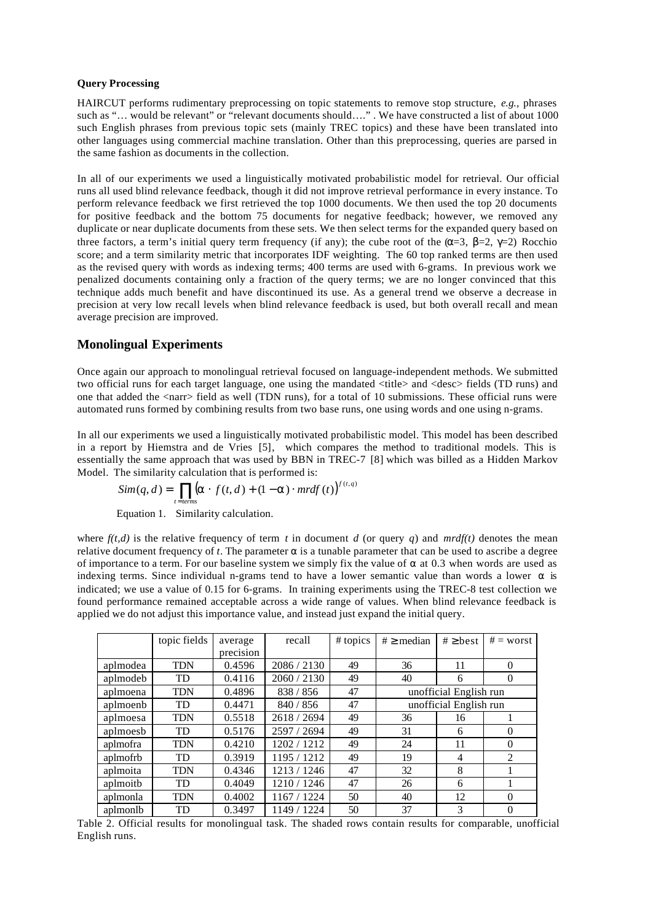### **Query Processing**

HAIRCUT performs rudimentary preprocessing on topic statements to remove stop structure, *e.g.,* phrases such as "... would be relevant" or "relevant documents should...." . We have constructed a list of about 1000 such English phrases from previous topic sets (mainly TREC topics) and these have been translated into other languages using commercial machine translation. Other than this preprocessing, queries are parsed in the same fashion as documents in the collection.

In all of our experiments we used a linguistically motivated probabilistic model for retrieval. Our official runs all used blind relevance feedback, though it did not improve retrieval performance in every instance. To perform relevance feedback we first retrieved the top 1000 documents. We then used the top 20 documents for positive feedback and the bottom 75 documents for negative feedback; however, we removed any duplicate or near duplicate documents from these sets. We then select terms for the expanded query based on three factors, a term's initial query term frequency (if any); the cube root of the  $(\alpha=3, \beta=2, \gamma=2)$  Rocchio score; and a term similarity metric that incorporates IDF weighting. The 60 top ranked terms are then used as the revised query with words as indexing terms; 400 terms are used with 6-grams. In previous work we penalized documents containing only a fraction of the query terms; we are no longer convinced that this technique adds much benefit and have discontinued its use. As a general trend we observe a decrease in precision at very low recall levels when blind relevance feedback is used, but both overall recall and mean average precision are improved.

## **Monolingual Experiments**

Once again our approach to monolingual retrieval focused on language-independent methods. We submitted two official runs for each target language, one using the mandated <title> and <desc> fields (TD runs) and one that added the <narr> field as well (TDN runs), for a total of 10 submissions. These official runs were automated runs formed by combining results from two base runs, one using words and one using n-grams.

In all our experiments we used a linguistically motivated probabilistic model. This model has been described in a report by Hiemstra and de Vries [5], which compares the method to traditional models. This is essentially the same approach that was used by BBN in TREC-7 [8] which was billed as a Hidden Markov Model. The similarity calculation that is performed is:

$$
Sim(q, d) = \prod_{t = terms} (\mathbf{a} \cdot f(t, d) + (1 - \mathbf{a}) \cdot m r d f(t))^{f(t, q)}
$$

Equation 1. Similarity calculation.

where  $f(t,d)$  is the relative frequency of term *t* in document *d* (or query *q*) and *mrdf(t)* denotes the mean relative document frequency of *t*. The parameter  $\alpha$  is a tunable parameter that can be used to ascribe a degree of importance to a term. For our baseline system we simply fix the value of  $\alpha$  at 0.3 when words are used as indexing terms. Since individual n-grams tend to have a lower semantic value than words a lower  $\alpha$  is indicated; we use a value of 0.15 for 6-grams. In training experiments using the TREC-8 test collection we found performance remained acceptable across a wide range of values. When blind relevance feedback is applied we do not adjust this importance value, and instead just expand the initial query.

|          | topic fields | average<br>precision | recall      | # topics | $# \geq$ median        | $# \ge$ best  | $# = worst$ |  |
|----------|--------------|----------------------|-------------|----------|------------------------|---------------|-------------|--|
| aplmodea | <b>TDN</b>   | 0.4596               | 2086 / 2130 | 49       | 36                     | 11            | $\Omega$    |  |
| aplmodeb | TD           | 0.4116               | 2060 / 2130 | 49       | 40                     | 6             | $\theta$    |  |
| aplmoena | TDN          | 0.4896               | 838 / 856   | 47       | unofficial English run |               |             |  |
| aplmoenb | TD           | 0.4471               | 840 / 856   | 47       | unofficial English run |               |             |  |
| aplmoesa | <b>TDN</b>   | 0.5518               | 2618 / 2694 | 49       | 36                     | 16            |             |  |
| aplmoesb | TD           | 0.5176               | 2597 / 2694 | 49       | 31                     | 6             | $\Omega$    |  |
| aplmofra | TDN          | 0.4210               | 1202/1212   | 49       | 24                     | 11            | $\Omega$    |  |
| aplmofrb | TD           | 0.3919               | 1195/1212   | 49       | 19                     | 4             | 2           |  |
| aplmoita | <b>TDN</b>   | 0.4346               | 1213 / 1246 | 47       | 32                     | 8             |             |  |
| aplmoith | TD           | 0.4049               | 1210 / 1246 | 47       | 26                     | 6             |             |  |
| aplmonla | <b>TDN</b>   | 0.4002               | 1167 / 1224 | 50       | 40                     | 12            | $\Omega$    |  |
| aplmonlb | TD           | 0.3497               | 1149 / 1224 | 50       | 37                     | $\mathcal{R}$ | $\theta$    |  |

Table 2. Official results for monolingual task. The shaded rows contain results for comparable, unofficial English runs.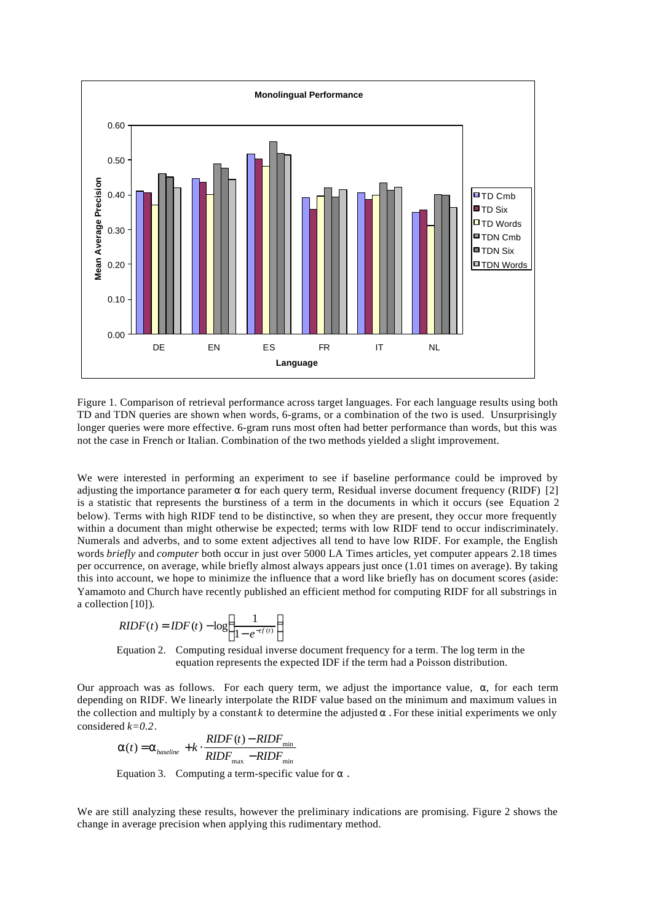

Figure 1. Comparison of retrieval performance across target languages. For each language results using both TD and TDN queries are shown when words, 6-grams, or a combination of the two is used. Unsurprisingly longer queries were more effective. 6-gram runs most often had better performance than words, but this was not the case in French or Italian. Combination of the two methods yielded a slight improvement.

We were interested in performing an experiment to see if baseline performance could be improved by adjusting the importance parameter  $\alpha$  for each query term, Residual inverse document frequency (RIDF) [2] is a statistic that represents the burstiness of a term in the documents in which it occurs (see Equation 2 below). Terms with high RIDF tend to be distinctive, so when they are present, they occur more frequently within a document than might otherwise be expected; terms with low RIDF tend to occur indiscriminately. Numerals and adverbs, and to some extent adjectives all tend to have low RIDF. For example, the English words *briefly* and *computer* both occur in just over 5000 LA Times articles, yet computer appears 2.18 times per occurrence, on average, while briefly almost always appears just once (1.01 times on average). By taking this into account, we hope to minimize the influence that a word like briefly has on document scores (aside: Yamamoto and Church have recently published an efficient method for computing RIDF for all substrings in a collection [10]).

$$
RIDF(t) = IDF(t) - log\left(\frac{1}{1 - e^{-cf(t)}}\right)
$$

Equation 2. Computing residual inverse document frequency for a term. The log term in the equation represents the expected IDF if the term had a Poisson distribution.

Our approach was as follows. For each query term, we adjust the importance value, α, for each term depending on RIDF. We linearly interpolate the RIDF value based on the minimum and maximum values in the collection and multiply by a constant *k* to determine the adjusted  $\alpha$ . For these initial experiments we only considered *k=0.2*.

$$
\boldsymbol{a}(t) = \boldsymbol{a}_{baseline} + k \cdot \frac{RIDF(t) - RIDF_{min}}{RIDF_{max} - RIDF_{min}}
$$

Equation 3. Computing a term-specific value for  $\alpha$ .

We are still analyzing these results, however the preliminary indications are promising. Figure 2 shows the change in average precision when applying this rudimentary method.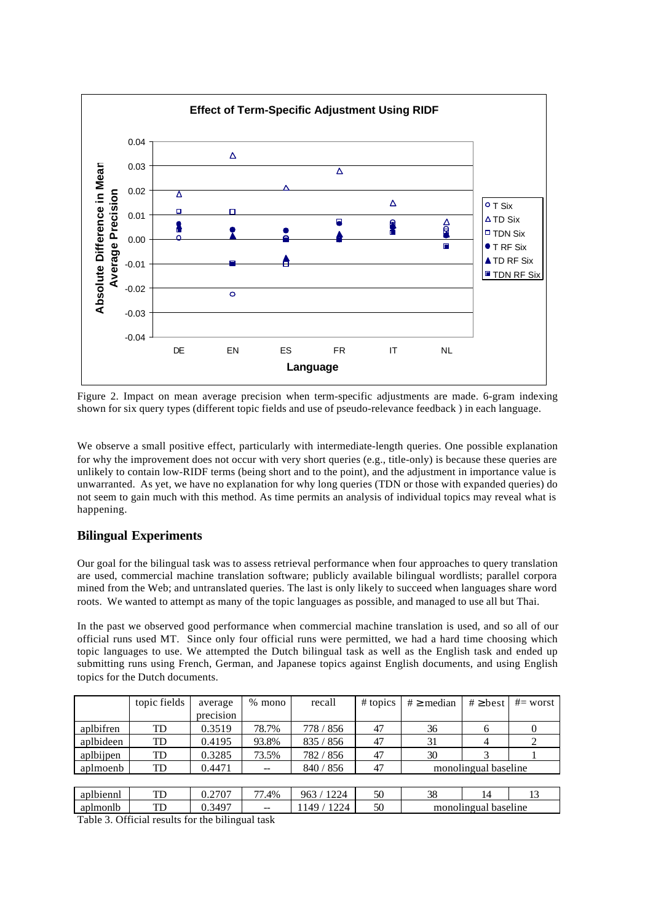

Figure 2. Impact on mean average precision when term-specific adjustments are made. 6-gram indexing shown for six query types (different topic fields and use of pseudo-relevance feedback ) in each language.

We observe a small positive effect, particularly with intermediate-length queries. One possible explanation for why the improvement does not occur with very short queries (e.g., title-only) is because these queries are unlikely to contain low-RIDF terms (being short and to the point), and the adjustment in importance value is unwarranted. As yet, we have no explanation for why long queries (TDN or those with expanded queries) do not seem to gain much with this method. As time permits an analysis of individual topics may reveal what is happening.

# **Bilingual Experiments**

Our goal for the bilingual task was to assess retrieval performance when four approaches to query translation are used, commercial machine translation software; publicly available bilingual wordlists; parallel corpora mined from the Web; and untranslated queries. The last is only likely to succeed when languages share word roots. We wanted to attempt as many of the topic languages as possible, and managed to use all but Thai.

In the past we observed good performance when commercial machine translation is used, and so all of our official runs used MT. Since only four official runs were permitted, we had a hard time choosing which topic languages to use. We attempted the Dutch bilingual task as well as the English task and ended up submitting runs using French, German, and Japanese topics against English documents, and using English topics for the Dutch documents.

|           | topic fields | average   | $\%$<br>mono | recall         | $# \text{ topics}$ | $# \geq$ median      | $# \geq best$ | $#=$ worst |
|-----------|--------------|-----------|--------------|----------------|--------------------|----------------------|---------------|------------|
|           |              | precision |              |                |                    |                      |               |            |
| aplbifren | TD           | 0.3519    | 78.7%        | 778 / 856      | 47                 | 36                   | 6             |            |
| aplbideen | TD           | 0.4195    | 93.8%        | 835 / 856      | 47                 | 31                   | 4             |            |
| aplbijpen | TD           | 0.3285    | 73.5%        | 782 / 856      | 47                 | 30                   |               |            |
| aplmoenb  | TD           | 0.4471    | --           | 840/856        | 47                 | monolingual baseline |               |            |
|           |              |           |              |                |                    |                      |               |            |
| aplbiennl | TD           | 0.2707    | 77.4%        | 963 / 1224     | 50                 | 38                   | 14            | 13         |
| aplmonlb  | TD           | 0.3497    |              | 1224<br>1149 / | 50                 | monolingual baseline |               |            |

Table 3. Official results for the bilingual task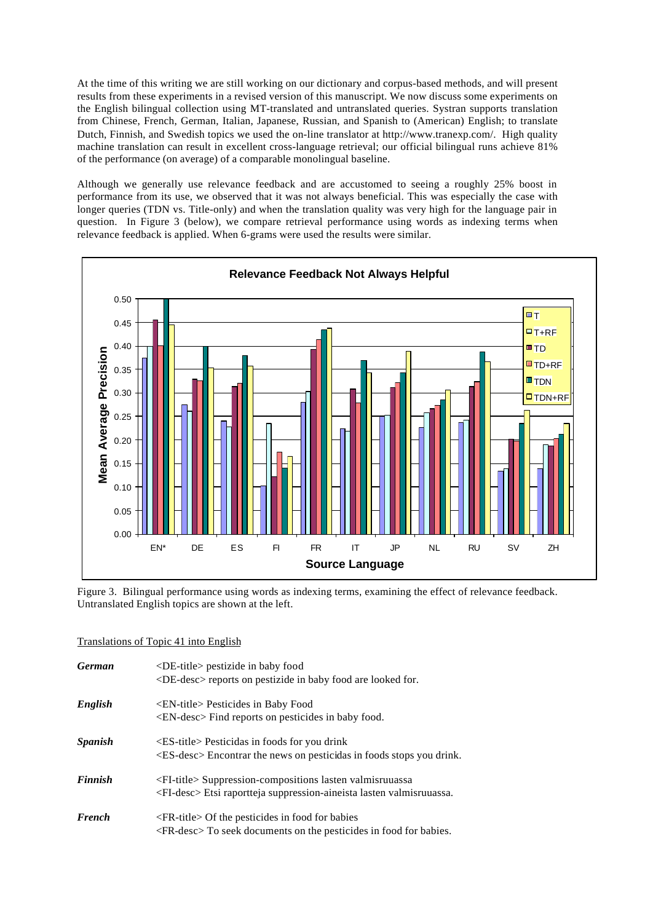At the time of this writing we are still working on our dictionary and corpus-based methods, and will present results from these experiments in a revised version of this manuscript. We now discuss some experiments on the English bilingual collection using MT-translated and untranslated queries. Systran supports translation from Chinese, French, German, Italian, Japanese, Russian, and Spanish to (American) English; to translate Dutch, Finnish, and Swedish topics we used the on-line translator at http://www.tranexp.com/. High quality machine translation can result in excellent cross-language retrieval; our official bilingual runs achieve 81% of the performance (on average) of a comparable monolingual baseline.

Although we generally use relevance feedback and are accustomed to seeing a roughly 25% boost in performance from its use, we observed that it was not always beneficial. This was especially the case with longer queries (TDN vs. Title-only) and when the translation quality was very high for the language pair in question. In Figure 3 (below), we compare retrieval performance using words as indexing terms when relevance feedback is applied. When 6-grams were used the results were similar.



Figure 3. Bilingual performance using words as indexing terms, examining the effect of relevance feedback. Untranslated English topics are shown at the left.

### Translations of Topic 41 into English

| <b>German</b>         | <de-title> pestizide in baby food<br/><de-desc> reports on pestizide in baby food are looked for.</de-desc></de-title>                                 |
|-----------------------|--------------------------------------------------------------------------------------------------------------------------------------------------------|
| English               | <en-title> Pesticides in Baby Food<br/><math>\leq</math>EN-desc<math>&gt;</math>Find reports on pesticides in baby food.</en-title>                    |
| <i><b>Spanish</b></i> | $\leq$ ES-title> Pesticidas in foods for you drink<br>$\leq$ ES-desc $>$ Encontrar the news on pesticidas in foods stops you drink.                    |
| <b>Finnish</b>        | <fi-title> Suppression-compositions lasten valmisruuassa<br/><fi-desc> Etsi raportteja suppression-aineista lasten valmisruuassa.</fi-desc></fi-title> |
| <b>French</b>         | $\langle$ FR-title $>$ Of the pesticides in food for babies<br>$\leq$ FR-desc $>$ To seek documents on the pesticides in food for babies.              |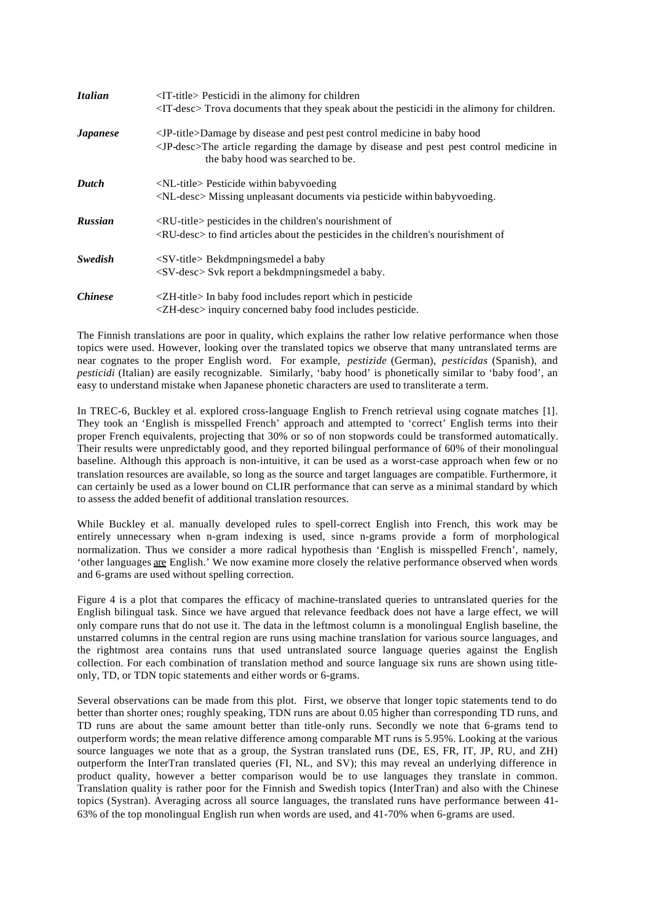| <b>Italian</b>         | $\langle$ IT-title> Pesticidi in the alimony for children<br><it-desc> Trova documents that they speak about the pesticidi in the alimony for children.</it-desc>                                                             |
|------------------------|-------------------------------------------------------------------------------------------------------------------------------------------------------------------------------------------------------------------------------|
| <b><i>Japanese</i></b> | <jp-title>Damage by disease and pest pest control medicine in baby hood<br/><jp-desc>The article regarding the damage by disease and pest pest control medicine in<br/>the baby hood was searched to be.</jp-desc></jp-title> |
| Dutch                  | $\langle$ NL-title> Pesticide within babyvoeding<br><nl-desc> Missing unpleasant documents via pesticide within babyvoeding.</nl-desc>                                                                                        |
| <b>Russian</b>         | $\langle$ RU-title> pesticides in the children's nourishment of<br><ru-desc> to find articles about the pesticides in the children's nourishment of</ru-desc>                                                                 |
| <b>Swedish</b>         | $\langle$ SV-title> Bekdmpningsmedel a baby<br>$\langle$ SV-desc $>$ Svk report a bekdmpningsmedel a baby.                                                                                                                    |
| <i>Chinese</i>         | $ZH$ -title> In baby food includes report which in pesticide<br><zh-desc> inquiry concerned baby food includes pesticide.</zh-desc>                                                                                           |

The Finnish translations are poor in quality, which explains the rather low relative performance when those topics were used. However, looking over the translated topics we observe that many untranslated terms are near cognates to the proper English word. For example, *pestizide* (German), *pesticidas* (Spanish), and *pesticidi* (Italian) are easily recognizable. Similarly, 'baby hood' is phonetically similar to 'baby food', an easy to understand mistake when Japanese phonetic characters are used to transliterate a term.

In TREC-6, Buckley et al. explored cross-language English to French retrieval using cognate matches [1]. They took an 'English is misspelled French' approach and attempted to 'correct' English terms into their proper French equivalents, projecting that 30% or so of non stopwords could be transformed automatically. Their results were unpredictably good, and they reported bilingual performance of 60% of their monolingual baseline. Although this approach is non-intuitive, it can be used as a worst-case approach when few or no translation resources are available, so long as the source and target languages are compatible. Furthermore, it can certainly be used as a lower bound on CLIR performance that can serve as a minimal standard by which to assess the added benefit of additional translation resources.

While Buckley et al. manually developed rules to spell-correct English into French, this work may be entirely unnecessary when n-gram indexing is used, since n-grams provide a form of morphological normalization. Thus we consider a more radical hypothesis than 'English is misspelled French', namely, 'other languages are English.' We now examine more closely the relative performance observed when words and 6-grams are used without spelling correction.

Figure 4 is a plot that compares the efficacy of machine-translated queries to untranslated queries for the English bilingual task. Since we have argued that relevance feedback does not have a large effect, we will only compare runs that do not use it. The data in the leftmost column is a monolingual English baseline, the unstarred columns in the central region are runs using machine translation for various source languages, and the rightmost area contains runs that used untranslated source language queries against the English collection. For each combination of translation method and source language six runs are shown using titleonly, TD, or TDN topic statements and either words or 6-grams.

Several observations can be made from this plot. First, we observe that longer topic statements tend to do better than shorter ones; roughly speaking, TDN runs are about 0.05 higher than corresponding TD runs, and TD runs are about the same amount better than title-only runs. Secondly we note that 6-grams tend to outperform words; the mean relative difference among comparable MT runs is 5.95%. Looking at the various source languages we note that as a group, the Systran translated runs (DE, ES, FR, IT, JP, RU, and ZH) outperform the InterTran translated queries (FI, NL, and SV); this may reveal an underlying difference in product quality, however a better comparison would be to use languages they translate in common. Translation quality is rather poor for the Finnish and Swedish topics (InterTran) and also with the Chinese topics (Systran). Averaging across all source languages, the translated runs have performance between 41- 63% of the top monolingual English run when words are used, and 41-70% when 6-grams are used.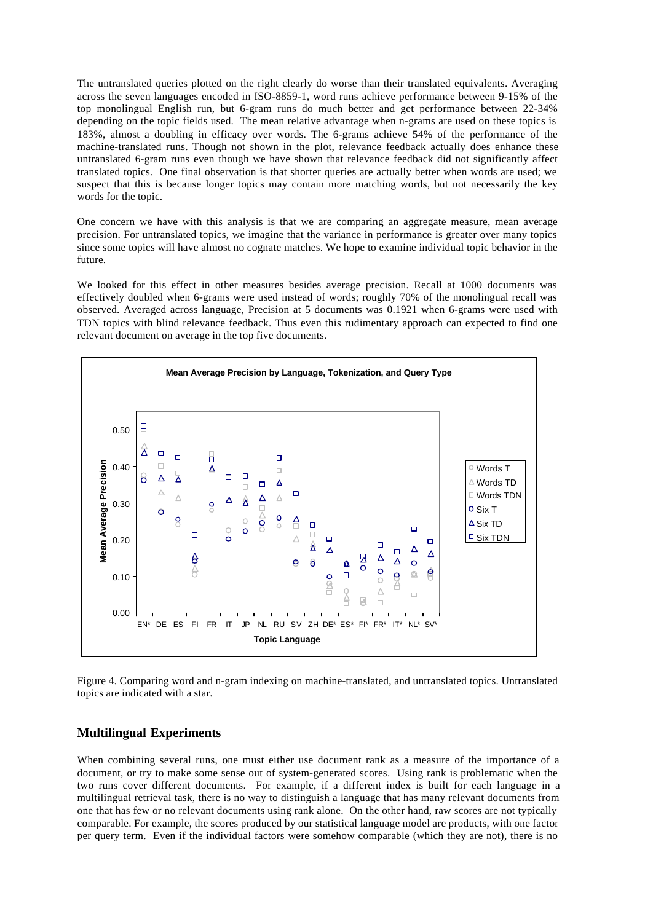The untranslated queries plotted on the right clearly do worse than their translated equivalents. Averaging across the seven languages encoded in ISO-8859-1, word runs achieve performance between 9-15% of the top monolingual English run, but 6-gram runs do much better and get performance between 22-34% depending on the topic fields used. The mean relative advantage when n-grams are used on these topics is 183%, almost a doubling in efficacy over words. The 6-grams achieve 54% of the performance of the machine-translated runs. Though not shown in the plot, relevance feedback actually does enhance these untranslated 6-gram runs even though we have shown that relevance feedback did not significantly affect translated topics. One final observation is that shorter queries are actually better when words are used; we suspect that this is because longer topics may contain more matching words, but not necessarily the key words for the topic.

One concern we have with this analysis is that we are comparing an aggregate measure, mean average precision. For untranslated topics, we imagine that the variance in performance is greater over many topics since some topics will have almost no cognate matches. We hope to examine individual topic behavior in the future.

We looked for this effect in other measures besides average precision. Recall at 1000 documents was effectively doubled when 6-grams were used instead of words; roughly 70% of the monolingual recall was observed. Averaged across language, Precision at 5 documents was 0.1921 when 6-grams were used with TDN topics with blind relevance feedback. Thus even this rudimentary approach can expected to find one relevant document on average in the top five documents.



Figure 4. Comparing word and n-gram indexing on machine-translated, and untranslated topics. Untranslated topics are indicated with a star.

## **Multilingual Experiments**

When combining several runs, one must either use document rank as a measure of the importance of a document, or try to make some sense out of system-generated scores. Using rank is problematic when the two runs cover different documents. For example, if a different index is built for each language in a multilingual retrieval task, there is no way to distinguish a language that has many relevant documents from one that has few or no relevant documents using rank alone. On the other hand, raw scores are not typically comparable. For example, the scores produced by our statistical language model are products, with one factor per query term. Even if the individual factors were somehow comparable (which they are not), there is no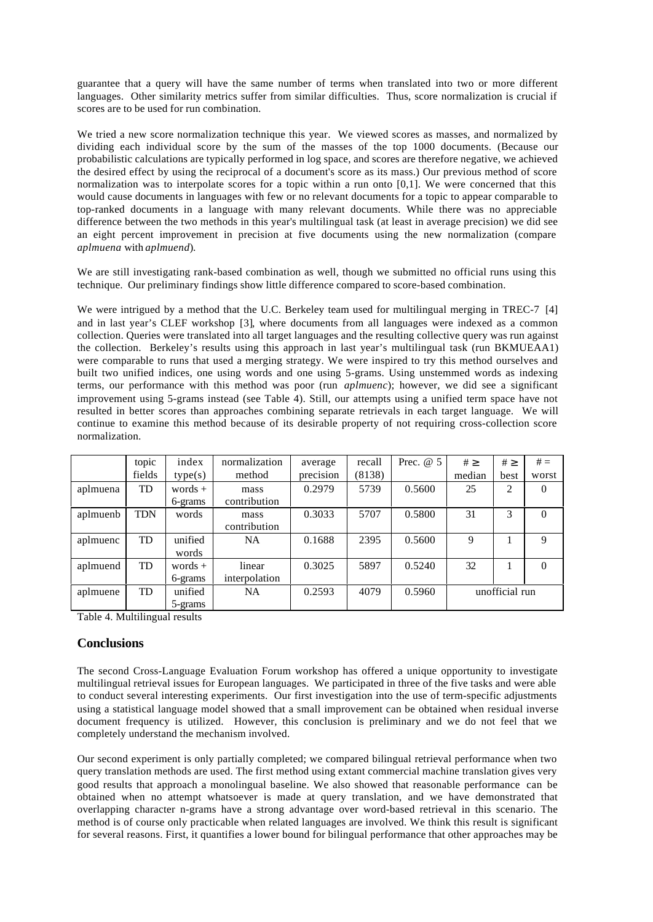guarantee that a query will have the same number of terms when translated into two or more different languages. Other similarity metrics suffer from similar difficulties. Thus, score normalization is crucial if scores are to be used for run combination.

We tried a new score normalization technique this year. We viewed scores as masses, and normalized by dividing each individual score by the sum of the masses of the top 1000 documents. (Because our probabilistic calculations are typically performed in log space, and scores are therefore negative, we achieved the desired effect by using the reciprocal of a document's score as its mass.) Our previous method of score normalization was to interpolate scores for a topic within a run onto [0,1]. We were concerned that this would cause documents in languages with few or no relevant documents for a topic to appear comparable to top-ranked documents in a language with many relevant documents. While there was no appreciable difference between the two methods in this year's multilingual task (at least in average precision) we did see an eight percent improvement in precision at five documents using the new normalization (compare *aplmuena* with *aplmuend*).

We are still investigating rank-based combination as well, though we submitted no official runs using this technique. Our preliminary findings show little difference compared to score-based combination.

We were intrigued by a method that the U.C. Berkeley team used for multilingual merging in TREC-7 [4] and in last year's CLEF workshop [3], where documents from all languages were indexed as a common collection. Queries were translated into all target languages and the resulting collective query was run against the collection. Berkeley's results using this approach in last year's multilingual task (run BKMUEAA1) were comparable to runs that used a merging strategy. We were inspired to try this method ourselves and built two unified indices, one using words and one using 5-grams. Using unstemmed words as indexing terms, our performance with this method was poor (run *aplmuenc*); however, we did see a significant improvement using 5-grams instead (see Table 4). Still, our attempts using a unified term space have not resulted in better scores than approaches combining separate retrievals in each target language. We will continue to examine this method because of its desirable property of not requiring cross-collection score normalization.

|          | topic      | index     | normalization | average   | recall | Prec. $@5$ | $# \geq$       | $# \geq$ | $# =$    |
|----------|------------|-----------|---------------|-----------|--------|------------|----------------|----------|----------|
|          | fields     | type(s)   | method        | precision | (8138) |            | median         | best     | worst    |
| aplmuena | <b>TD</b>  | words $+$ | mass          | 0.2979    | 5739   | 0.5600     | 25             | 2        | $\theta$ |
|          |            | 6-grams   | contribution  |           |        |            |                |          |          |
| aplmuenb | <b>TDN</b> | words     | mass          | 0.3033    | 5707   | 0.5800     | 31             | 3        | $\Omega$ |
|          |            |           | contribution  |           |        |            |                |          |          |
| aplmuenc | <b>TD</b>  | unified   | NA.           | 0.1688    | 2395   | 0.5600     | 9              |          | 9        |
|          |            | words     |               |           |        |            |                |          |          |
| aplmuend | <b>TD</b>  | words $+$ | linear        | 0.3025    | 5897   | 0.5240     | 32             |          | $\Omega$ |
|          |            | 6-grams   | interpolation |           |        |            |                |          |          |
| aplmuene | <b>TD</b>  | unified   | NA            | 0.2593    | 4079   | 0.5960     | unofficial run |          |          |
|          |            | 5-grams   |               |           |        |            |                |          |          |

Table 4. Multilingual results

# **Conclusions**

The second Cross-Language Evaluation Forum workshop has offered a unique opportunity to investigate multilingual retrieval issues for European languages. We participated in three of the five tasks and were able to conduct several interesting experiments. Our first investigation into the use of term-specific adjustments using a statistical language model showed that a small improvement can be obtained when residual inverse document frequency is utilized. However, this conclusion is preliminary and we do not feel that we completely understand the mechanism involved.

Our second experiment is only partially completed; we compared bilingual retrieval performance when two query translation methods are used. The first method using extant commercial machine translation gives very good results that approach a monolingual baseline. We also showed that reasonable performance can be obtained when no attempt whatsoever is made at query translation, and we have demonstrated that overlapping character n-grams have a strong advantage over word-based retrieval in this scenario. The method is of course only practicable when related languages are involved. We think this result is significant for several reasons. First, it quantifies a lower bound for bilingual performance that other approaches may be